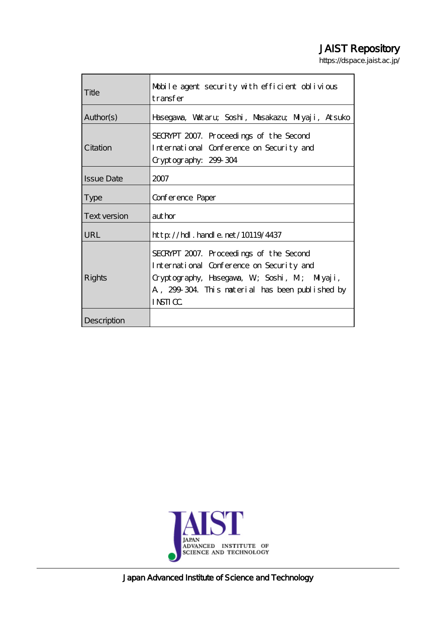# JAIST Repository

https://dspace.jaist.ac.jp/

| Title             | Mobile agent security with efficient oblivious<br>transfer                                                                                                                                               |
|-------------------|----------------------------------------------------------------------------------------------------------------------------------------------------------------------------------------------------------|
| Author(s)         | Hasegava, Valtaru, Soshi, Masakazu, Miyaji, Atsuko                                                                                                                                                       |
| Citation          | SECRYPT 2007. Proceedings of the Second<br>International Conference on Security and<br>Cryptography: 299 304                                                                                             |
| <b>Issue Date</b> | 2007                                                                                                                                                                                                     |
| <b>Type</b>       | Conference Paper                                                                                                                                                                                         |
| Text version      | aut hor                                                                                                                                                                                                  |
| <b>URL</b>        | $http$ // $hdl$ . handle. net/10119/4437                                                                                                                                                                 |
| Rights            | SECRYPT 2007. Proceedings of the Second<br>International Conference on Security and<br>Cryptography, Hasegava, W; Soshi, M; Miyaji,<br>A, 299-304. This material has been published by<br><b>INSTICC</b> |
| Description       |                                                                                                                                                                                                          |



Japan Advanced Institute of Science and Technology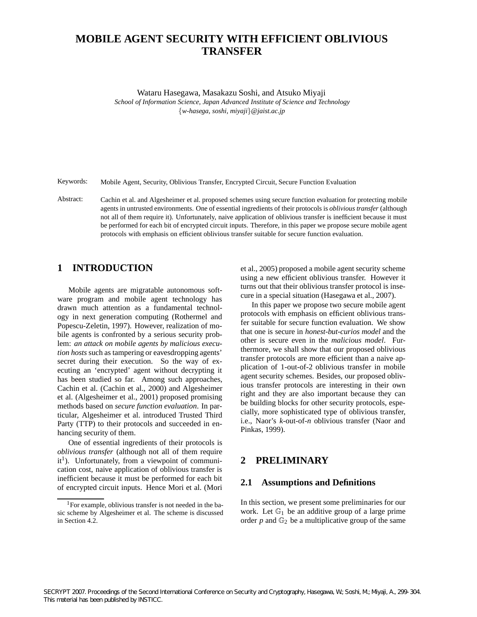# **MOBILE AGENT SECURITY WITH EFFICIENT OBLIVIOUS TRANSFER**

Wataru Hasegawa, Masakazu Soshi, and Atsuko Miyaji

*School of Information Science, Japan Advanced Institute of Science and Technology w-hasega, soshi, miyaji@jaist.ac.jp*

Keywords: Mobile Agent, Security, Oblivious Transfer, Encrypted Circuit, Secure Function Evaluation

Abstract: Cachin et al. and Algesheimer et al. proposed schemes using secure function evaluation for protecting mobile agents in untrusted environments. One of essential ingredients of their protocols is *oblivious transfer* (although not all of them require it). Unfortunately, naive application of oblivious transfer is inefficient because it must be performed for each bit of encrypted circuit inputs. Therefore, in this paper we propose secure mobile agent protocols with emphasis on efficient oblivious transfer suitable for secure function evaluation.

# **1 INTRODUCTION**

Mobile agents are migratable autonomous software program and mobile agent technology has drawn much attention as a fundamental technology in next generation computing (Rothermel and Popescu-Zeletin, 1997). However, realization of mobile agents is confronted by a serious security problem: *an attack on mobile agents by malicious execution hosts* such as tampering or eavesdropping agents' secret during their execution. So the way of executing an 'encrypted' agent without decrypting it has been studied so far. Among such approaches, Cachin et al. (Cachin et al., 2000) and Algesheimer et al. (Algesheimer et al., 2001) proposed promising methods based on *secure function evaluation*. In particular, Algesheimer et al. introduced Trusted Third Party (TTP) to their protocols and succeeded in enhancing security of them.

One of essential ingredients of their protocols is *oblivious transfer* (although not all of them require  $it<sup>1</sup>$ ). Unfortunately, from a viewpoint of communication cost, naive application of oblivious transfer is inefficient because it must be performed for each bit of encrypted circuit inputs. Hence Mori et al. (Mori

et al., 2005) proposed a mobile agent security scheme using a new efficient oblivious transfer. However it turns out that their oblivious transfer protocol is insecure in a special situation (Hasegawa et al., 2007).

In this paper we propose two secure mobile agent protocols with emphasis on efficient oblivious transfer suitable for secure function evaluation. We show that one is secure in *honest-but-curios model* and the other is secure even in the *malicious model*. Furthermore, we shall show that our proposed oblivious transfer protocols are more efficient than a naive application of 1-out-of-2 oblivious transfer in mobile agent security schemes. Besides, our proposed oblivious transfer protocols are interesting in their own right and they are also important because they can be building blocks for other security protocols, especially, more sophisticated type of oblivious transfer, i.e., Naor's *k*-out-of-*n* oblivious transfer (Naor and Pinkas, 1999).

# **2 PRELIMINARY**

# **2.1 Assumptions and Definitions**

In this section, we present some preliminaries for our work. Let  $\mathbb{G}_1$  be an additive group of a large prime order  $p$  and  $\mathbb{G}_2$  be a multiplicative group of the same

 $1$ For example, oblivious transfer is not needed in the basic scheme by Algesheimer et al. The scheme is discussed in Section 4.2.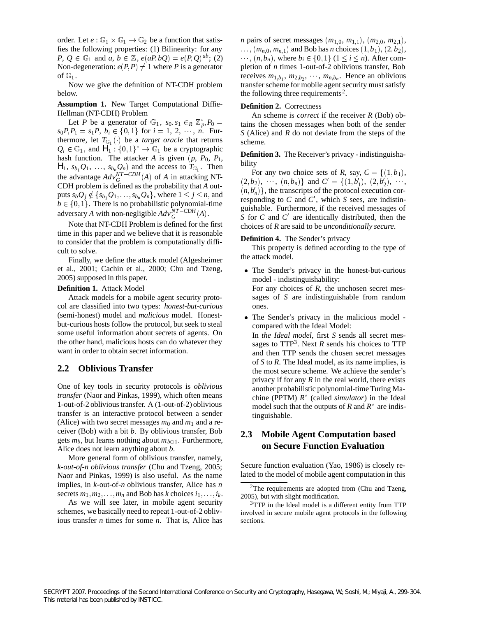order. Let  $e : \mathbb{G}_1 \times \mathbb{G}_1 \to \mathbb{G}_2$  be a function that satisfies the following properties: (1) Bilinearity: for any  $P, Q \in \mathbb{G}_1$  and  $a, b \in \mathbb{Z}$ ,  $e(aP, bQ) = e(P, Q)^{ab}$ ; (2) Non-degeneration:  $e(P, P) \neq 1$  where *P* is a generator of  $\mathbb{G}_1$ .

Now we give the definition of NT-CDH problem below.

**Assumption 1.** New Target Computational Diffie-Hellman (NT-CDH) Problem

Let *P* be a generator of  $\mathbb{G}_1$ ,  $s_0, s_1 \in_R \mathbb{Z}_p^*$ ,  $P_0 =$  $s_0P, P_1 = s_1P, b_i \in \{0, 1\}$  for  $i = 1, 2, \dots, n$ . Furthermore, let  $T_{\mathbb{G}_1}(\cdot)$  be a *target oracle* that returns  $Q_i \in \mathbb{G}_1$ , and  $H_1: \{0,1\}^* \to \mathbb{G}_1$  be a cryptographic hash function. The attacker *A* is given  $(p, P_0, P_1,$  $H_1$ ,  $s_{b_1}Q_1$ ,  $\ldots$ ,  $s_{b_n}Q_n)$  and the access to  $T_{\mathbb{G}_1}$ . Then the advantage  $Adv_G^{NT-CDH}(A)$  of *A* in attacking NT-CDH problem is defined as the probability that *A* outputs  $s_bQ_j \notin \{s_{b_1}Q_1, \ldots, s_{b_n}Q_n\}$ , where  $1 \leq j \leq n$ , and  $b \in \{0, 1\}$ . There is no probabilistic polynomial-time adversary *A* with non-negligible  $Adv_G^{NT-CDH}(A)$ .

Note that NT-CDH Problem is defined for the first time in this paper and we believe that it is reasonable to consider that the problem is computationally difficult to solve.

Finally, we define the attack model (Algesheimer et al., 2001; Cachin et al., 2000; Chu and Tzeng, 2005) supposed in this paper.

#### **Definition 1.** Attack Model

Attack models for a mobile agent security protocol are classified into two types: *honest-but-curious* (semi-honest) model and *malicious* model. Honestbut-curious hosts follow the protocol, but seek to steal some useful information about secrets of agents. On the other hand, malicious hosts can do whatever they want in order to obtain secret information.

# **2.2 Oblivious Transfer**

One of key tools in security protocols is *oblivious transfer* (Naor and Pinkas, 1999), which often means 1-out-of-2 oblivious transfer. A (1-out-of-2) oblivious transfer is an interactive protocol between a sender (Alice) with two secret messages  $m_0$  and  $m_1$  and a receiver (Bob) with a bit *b*. By oblivious transfer, Bob gets  $m_b$ , but learns nothing about  $m_{b \oplus 1}$ . Furthermore, Alice does not learn anything about *b*.

More general form of oblivious transfer, namely, *k-out-of-n oblivious transfer* (Chu and Tzeng, 2005; Naor and Pinkas, 1999) is also useful. As the name implies, in *k*-out-of-*n* oblivious transfer, Alice has *n* secrets  $m_1, m_2, \ldots, m_n$  and Bob has *k* choices  $i_1, \ldots, i_k$ .

As we will see later, in mobile agent security schemes, we basically need to repeat 1-out-of-2 oblivious transfer *n* times for some *n*. That is, Alice has

*n* pairs of secret messages  $(m_{1,0}, m_{1,1}), (m_{2,0}, m_{2,1}),$  $, ..., (m_{n,0}, m_{n,1})$  and Bob has *n* choices  $(1, b_1), (2, b_2),$  $\cdots$ ,  $(n, b_n)$ , where  $b_i \in \{0, 1\}$   $(1 \le i \le n)$ . After completion of *n* times 1-out-of-2 oblivious transfer, Bob receives  $m_{1,b_1}$ ,  $m_{2,b_2}$ , ...,  $m_{n,b_n}$ . Hence an oblivious transfer scheme for mobile agent security must satisfy the following three requirements<sup>2</sup>.

#### **Definition 2.** Correctness

 tains the chosen messages when both of the sender An scheme is *correct* if the receiver *R* (Bob) ob-*S* (Alice) and *R* do not deviate from the steps of the scheme.

**Definition 3.** The Receiver's privacy - indistinguishability

For any two choice sets of *R*, say,  $C = \{(1, b_1),\}$  $(2,b_2), \dots, (n,b_n)$  and  $C' = \{(1,b'_1), (2,b'_2), \dots,$  $(n, b'_n)$ , the transcripts of the protocol execution corresponding to  $C$  and  $C'$ , which  $S$  sees, are indistinguishable. Furthermore, if the received messages of *S* for *C* and *C'* are identically distributed, then the choices of *R* are said to be *unconditionally secure*.

#### **Definition 4.** The Sender's privacy

This property is defined according to the type of the attack model.

 The Sender's privacy in the honest-but-curious model - indistinguishability:

For any choices of *R*, the unchosen secret messages of *S* are indistinguishable from random ones.

 The Sender's privacy in the malicious model compared with the Ideal Model:

In *the Ideal model*, first *S* sends all secret messages to  $TTP<sup>3</sup>$ . Next *R* sends his choices to TTP and then TTP sends the chosen secret messages of *S* to *R*. The Ideal model, as its name implies, is the most secure scheme. We achieve the sender's privacy if for any *R* in the real world, there exists another probabilistic polynomial-time Turing Machine (PPTM) *R* (called *simulator*) in the Ideal model such that the outputs of  $R$  and  $R^*$  are indistinguishable.

# **2.3 Mobile Agent Computation based on Secure Function Evaluation**

Secure function evaluation (Yao, 1986) is closely related to the model of mobile agent computation in this

 $2$ The requirements are adopted from (Chu and Tzeng, 2005), but with slight modification.

<sup>&</sup>lt;sup>3</sup>TTP in the Ideal model is a different entity from TTP involved in secure mobile agent protocols in the following sections.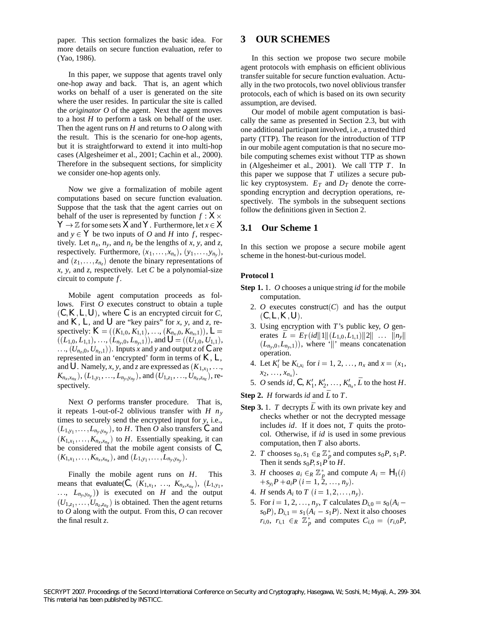paper. This section formalizes the basic idea. For more details on secure function evaluation, refer to (Yao, 1986).

In this paper, we suppose that agents travel only one-hop away and back. That is, an agent which works on behalf of a user is generated on the site where the user resides. In particular the site is called the *originator O* of the agent. Next the agent moves to a host *H* to perform a task on behalf of the user. Then the agent runs on *H* and returns to *O* along with the result. This is the scenario for one-hop agents, but it is straightforward to extend it into multi-hop cases (Algesheimer et al., 2001; Cachin et al., 2000). Therefore in the subsequent sections, for simplicity we consider one-hop agents only.

Now we give a formalization of mobile agent computations based on secure function evaluation. Suppose that the task that the agent carries out on behalf of the user is represented by function  $f: X \times$  $Y \rightarrow \mathbb{Z}$  for some sets *X* and *Y*. Furthermore, let  $x \in X$ and  $y \in Y$  be two inputs of *O* and *H* into *f*, respectively. Let  $n_x$ ,  $n_y$ , and  $n_z$  be the lengths of *x*, *y*, and *z*, respectively. Furthermore,  $(x_1, \ldots, x_{n_x}), (y_1, \ldots, y_{n_y}),$ and  $(z_1, \ldots, z_{n_z})$  denote the binary representations of *x*, *y*, and *z*, respectively. Let *C* be a polynomial-size circuit to compute *f* .

Mobile agent computation proceeds as follows. First *O* executes construct to obtain a tuple  $(C, K, L, U)$ , where C is an encrypted circuit for C, and  $K$ ,  $L$ , and  $U$  are "key pairs" for *x*, *y*, and *z*, re- ${\rm spectively:} K = ((K_{1,0}, K_{1,1}), \ldots, (K_{n_x,0}, K_{n_x,1})), L =$  $(L_{1,0}, L_{1,1}), \ldots, (L_{n_y,0}, L_{n_y,1}),$  and  $U = ((U_{1,0}, U_{1,1}),$  $(U_{n_z,0}, U_{n_z,1})$ . Inputs *x* and *y* and output *z* of *C* are represented in an 'encrypted' form in terms of *K* , *L*, and U. Namely, *x*, *y*, and *z* are expressed as  $(K_{1,x_1}, \ldots,$  $K_{n_x, x_{n_x}}$ ,  $(L_{1, y_1}, \ldots, L_{n_y, y_{n_y}})$ , and  $(U_{1, z_1}, \ldots, U_{n_z, z_{n_z}})$ , respectively.

Next *O* performs transfer procedure. That is, it repeats 1-out-of-2 oblivious transfer with *H ny* times to securely send the encrypted input for *y*, i.e.,  $(L_{1,y_1}, \ldots, L_{n_y,y_n_y})$ , to *H*. Then *O* also transfers *C* and  $(K_{1,x_1}, \ldots, K_{n_x,x_{n_x}})$  to *H*. Essentially speaking, it can be considered that the mobile agent consists of *C*,  $(K_{1,x_1}, \ldots, K_{n_x,x_{n_x}})$ , and  $(L_{1,y_1}, \ldots, L_{n_y,y_{n_y}})$ .

Finally the mobile agent runs on *H*. This means that evaluate(*C*,  $(K_{1,x_1}, \ldots, K_{n_x,x_{n_x}})$ ,  $(L_{1,y_1}, \ldots, L_{1,y_n})$  $(L_{n_y, y_{n_y}})$  is executed on *H* and the output  $(U_{1,z_1}, \ldots, U_{n_z,z_n_z})$  is obtained. Then the agent returns to *O* along with the output. From this, *O* can recover the final result *z*.

# **3 OUR SCHEMES**

In this section we propose two secure mobile agent protocols with emphasis on efficient oblivious transfer suitable for secure function evaluation. Actually in the two protocols, two novel oblivious transfer protocols, each of which is based on its own security assumption, are devised.

Our model of mobile agent computation is basically the same as presented in Section 2.3, but with one additional participant involved, i.e., a trusted third party (TTP). The reason for the introduction of TTP in our mobile agent computation is that no secure mobile computing schemes exist without TTP as shown in (Algesheimer et al., 2001). We call TTP *T*. In this paper we suppose that *T* utilizes a secure public key cryptosystem.  $E_T$  and  $D_T$  denote the corresponding encryption and decryption operations, respectively. The symbols in the subsequent sections follow the definitions given in Section 2.

#### *X* **3.1 Our Scheme 1**

In this section we propose a secure mobile agent scheme in the honest-but-curious model.

#### **Protocol 1**

- **Step 1.** 1. *O* chooses a unique string *id* for the mobile computation.
	- 2. *O* executes construct( $C$ ) and has the output  $(C, L, K, U)$ .
	- erates  $\bar{L} = E_T(id||1||(L_{1,0}, L_{1,1})||2|| \dots ||n_y||$ 3. Using encryption with *T*'s public key, *O* gen- $(L_{n_y,0}, L_{n_y,1})$ , where '||' means concatenation operation.
	- 4. Let  $K_i'$  be  $K_{i,x_i}$  for  $i = 1, 2, ..., n_x$  and  $x = (x_1, ...)$  $x_2, \ldots, x_{n_x}$ .
	- 5. *O* sends *id*,  $C, K'_1, K'_2, \ldots, K'_{n_x}, \bar{L}$  to the host *H*.

**Step 2.** *H* forwards *id* and  $\overline{L}$  to *T*.

- **Step 3.** 1. *T* decrypts  $\bar{L}$  with its own private key and checks whether or not the decrypted message includes *id*. If it does not, *T* quits the protocol. Otherwise, if *id* is used in some previous computation, then *T* also aborts.
	- 2. *T* chooses  $s_0, s_1 \in_R \mathbb{Z}_p^*$  and computes  $s_0P, s_1P$ . Then it sends  $s_0P, s_1P$  to *H*.
	- 3. *H* chooses  $a_i \in_R \mathbb{Z}_p^*$  and compute  $A_i = H_1(i)$  $+s_{y_i}P + a_iP$  (*i* = 1, 2, ..., *n<sub>y</sub>*).
	- 4. *H* sends  $A_i$  to  $T$   $(i = 1, 2, ..., n_y)$ .
	- 5. For  $i = 1, 2, ..., n_y, T$  calculates  $D_{i,0} = s_0 (A_i$  $s_0P$ ,  $D_{i,1} = s_1(A_i - s_1P)$ . Next it also chooses  $r_{i,0}$ ,  $r_{i,1} \in_R \mathbb{Z}_p^*$  and computes  $C_{i,0} = (r_{i,0}P,$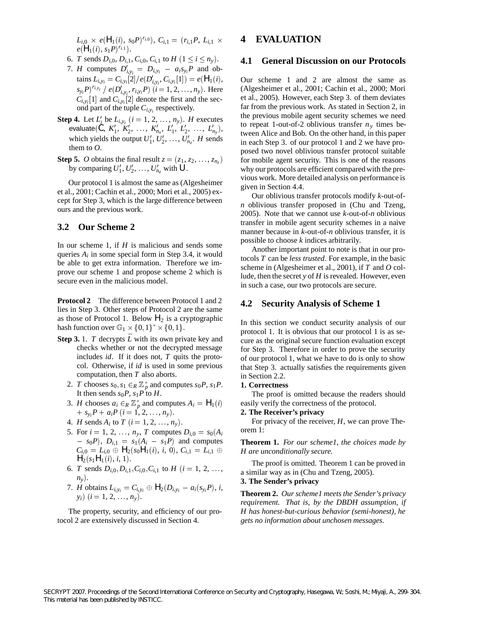$L_{i,0} \times e(H_1(i), s_0 P)^{r_{i,0}}), C_{i,1} = (r_{i,1} P, L_{i,1} \times$  **4 EV**  $e(H_1(i), s_1P)^{r_{i,1}}$ .

- 6. *T* sends  $D_{i,0}, D_{i,1}, C_{i,0}, C_{i,1}$  to  $H$   $(1 \le i \le n_y)$ . 4.1
- 7. *H* computes  $D'_{i,y_i} = D_{i,y_i} a_i s_{y_i} P$  and ob- $\mathcal{L}_{i,y_i} = C_{i,y_i}[2]/e(D'_{i,y_i}, C_{i,y_i}[1]) = e(H_1(i)),$  $(s_{y_i}P)^{r_{i,y_i}}$  /  $e(D'_{i,y_i}, r_{i,y_i}P)$   $(i = 1, 2, ..., n_y)$ . Here  $C_{i,y_i}[1]$  and  $C_{i,y_i}[2]$  denote the first and the second part of the tuple  $C_{i,v_i}$  respectively.
- **Step 4.** Let  $L'_{i}$  be  $L_{i,y_i}$   $(i = 1, 2, ..., n_y)$ . *H* executes  $e$ valuate $(C, K'_1, K'_2, \ldots, K'_{n_x}, L'_1, L'_2, \ldots, L'_{n_y}),$ which yields the output  $U'_1, U'_2, \ldots, U'_{n_z}$ . *H* sends them to *O*.
- **Step 5.** *O* obtains the final result  $z = (z_1, z_2, \dots, z_{n_z})$  for by comparing  $U'_1, U'_2, \ldots, U'_{n_z}$  with  $U$ .

Our protocol 1 is almost the same as (Algesheimer et al., 2001; Cachin et al., 2000; Mori et al., 2005) except for Step 3, which is the large difference between ours and the previous work.

# **3.2 Our Scheme 2**

In our scheme 1, if *H* is malicious and sends some queries  $A_i$  in some special form in Step 3.4, it would be able to get extra information. Therefore we improve our scheme 1 and propose scheme 2 which is secure even in the malicious model.

**Protocol 2** The difference between Protocol 1 and 2 lies in Step 3. Other steps of Protocol 2 are the same as those of Protocol 1. Below  $H_2$  is a cryptographic hash function over  $\mathbb{G}_1 \times \{0,1\}^* \times \{0,1\}.$ 

- **Step 3.** 1. *T* decrypts  $\overline{L}$  with its own private key and checks whether or not the decrypted message includes *id*. If it does not, *T* quits the protocol. Otherwise, if *id* is used in some previous computation, then *T* also aborts.
	- 2. *T* chooses  $s_0, s_1 \in_R \mathbb{Z}_p^*$  and computes  $s_0P, s_1P$ . It then sends  $s_0P$ ,  $s_1P$  to *H*.
	- 3. *H* chooses  $a_i \in_R \mathbb{Z}_p^*$  and computes  $A_i = H_1(i)$  ea  $+ s_{y_i}P + a_iP$  (*i* = 1, 2, ..., *n<sub>y</sub>*).
	- 4. *H* sends  $A_i$  to  $T$   $(i = 1, 2, ..., n_y)$ .
	- 5. For  $i = 1, 2, ..., n_y, T$  computes  $D_{i,0} = s_0(A_i)$  ore  $- s_0 P$ ,  $D_{i,1} = s_1 (A_i - s_1 P)$  and computes  $C_{i,0} = L_{i,0} \oplus H_2(s_0H_1(i), i, 0), C_{i,1} =$  $H_2(s_1H_1(i), i, 1).$
	- 6. *T* sends  $D_{i,0}, D_{i,1}, C_{i,0}, C_{i,1}$  to  $H$  (*i* = 1, 2, ...,  $n_v$ ).
	- 7. *H* obtains  $L_{i,y_i} = C_{i,y_i} \oplus H_2(D_{i,y_i} a_i(s_{y_i}P), i,$  $y_i)$   $(i = 1, 2, ..., n_y).$

The property, security, and efficiency of our protocol 2 are extensively discussed in Section 4.

# **4 EVALUATION**

# **4.1 General Discussion on our Protocols**

Our scheme 1 and 2 are almost the same as (Algesheimer et al., 2001; Cachin et al., 2000; Mori et al., 2005). However, each Step 3. of them deviates far from the previous work. As stated in Section 2, in the previous mobile agent security schemes we need to repeat 1-out-of-2 oblivious transfer  $n<sub>y</sub>$  times between Alice and Bob. On the other hand, in this paper in each Step 3. of our protocol 1 and 2 we have proposed two novel oblivious transfer protocol suitable for mobile agent security. This is one of the reasons why our protocols are efficient compared with the previous work. More detailed analysis on performance is given in Section 4.4.

Our oblivious transfer protocols modify *k*-out-of*n* oblivious transfer proposed in (Chu and Tzeng, 2005). Note that we cannot use *k*-out-of-*n* oblivious transfer in mobile agent security schemes in a naive manner because in *k*-out-of-*n* oblivious transfer, it is possible to choose *k* indices arbitrarily.

Another important point to note is that in our protocols *T* can be *less trusted*. For example, in the basic scheme in (Algesheimer et al., 2001), if *T* and *O* collude, then the secret *y* of *H* is revealed. However, even in such a case, our two protocols are secure.

# **4.2 Security Analysis of Scheme 1**

In this section we conduct security analysis of our protocol 1. It is obvious that our protocol 1 is as secure as the original secure function evaluation except for Step 3. Therefore in order to prove the security of our protocol 1, what we have to do is only to show that Step 3. actually satisfies the requirements given in Section 2.2.

#### **1. Correctness**

The proof is omitted because the readers should easily verify the correctness of the protocol.

#### **2. The Receiver's privacy**

For privacy of the receiver, *H*, we can prove Theorem 1:

 $L_{i,1} \oplus H$  are unconditionally secure. **Theorem 1.** *For our scheme1, the choices made by*

> The proof is omitted. Theorem 1 can be proved in a similar way as in (Chu and Tzeng, 2005).

#### **3. The Sender's privacy**

**Theorem 2.** *Our scheme1 meets the Sender's privacy requirement. That is, by the DBDH assumption, if H has honest-but-curious behavior (semi-honest), he gets no information about unchosen messages.*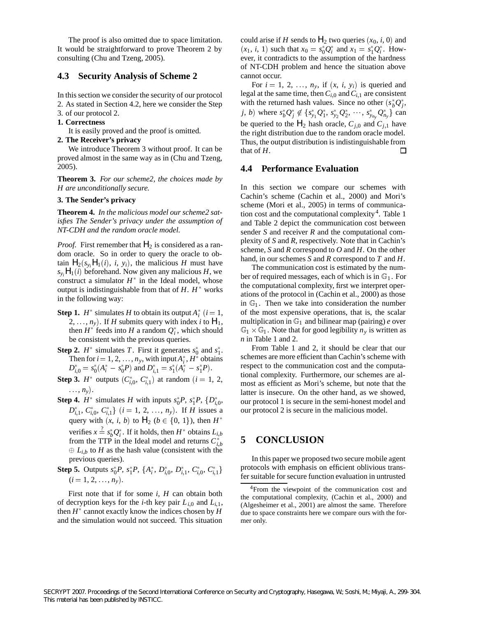The proof is also omitted due to space limitation. It would be straightforward to prove Theorem 2 by consulting (Chu and Tzeng, 2005).

# **4.3 Security Analysis of Scheme 2**

In this section we consider the security of our protocol

- 2. As stated in Section 4.2, here we consider the Step
- 3. of our protocol 2. **1. Correctness**

It is easily proved and the proof is omitted.

# **2. The Receiver's privacy**

We introduce Theorem 3 without proof. It can be proved almost in the same way as in (Chu and Tzeng, 2005).

**Theorem 3.** *For our scheme2, the choices made by H are unconditionally secure.*

# **3. The Sender's privacy**

**Theorem 4.** *In the malicious model our scheme2 satisfies The Sender's privacy under the assumption of NT-CDH and the random oracle model.*

*Proof.* First remember that  $H_2$  is considered as a random oracle. So in order to query the oracle to obtain  $H_2(s_y, H_1(i), i, y_i)$ , the malicious *H* must have  $s_{y_i}H_1(i)$  beforehand. Now given any malicious *H*, we construct a simulator  $H^*$  in the Ideal model, whose output is indistinguishable from that of  $H$ .  $H^*$  works in the following way:

- **Step 1.**  $H^*$  simulates *H* to obtain its output  $A_i^*$   $(i = 1,$ 2,  $\ldots$ ,  $n_{y}$ ). If *H* submits query with index *i* to  $H_1$ , then  $H^*$  feeds into  $H$  a random  $Q_i^*$ , which should be consistent with the previous queries.
- **Step 2.**  $H^*$  simulates *T*. First it generates  $s_0^*$  and  $s_1^*$ . Then for  $i = 1, 2, \dots, n_y$ , with input  $A_i^*$ ,  $H^*$  obtains  $D_{i,0}^* = s_0^*(A_i^* - s_0^*P)$  and  $D_{i,1}^* = s_1^*(A_i^* - s_1^*P)$ .
- **Step 3.**  $H^*$  outputs  $(C_{i,0}^*, C_{i,1}^*)$  at random  $(i = 1, 2, \ldots, m_0)$  $\ldots$ ,  $n_{y}$ ).
- **Step 4.**  $H^*$  simulates  $H$  with inputs  $s_0^*P$ ,  $s_1^*P$ ,  $\{D_{i,0}^*,$  $D_{i,1}^*$ ,  $C_{i,0}^*$ ,  $C_{i,1}^*$   $(i = 1, 2, ..., n_y)$ . If *H* issues a query with  $(x, i, b)$  to  $H_2$   $(b \in \{0, 1\})$ , then  $H^*$ verifies  $x \stackrel{?}{=} s_b^* Q_i^*$ . If it holds, then  $H^*$  obtains  $L_{i,b}$ from the TTP in the Ideal model and returns  $C_{i,b}^*$  $\oplus L_{i,b}$  to *H* as the hash value (consistent with the previous queries).
- **Step 5.** Outputs  $s_0^*P$ ,  $s_1^*P$ ,  $\{A_i^*, D_{i,0}^*, D_{i,1}^*, C_{i,0}^*, C_{i,1}^*\}$  pro  $(i = 1, 2, \ldots, n_{y}).$

First note that if for some *i*, *H* can obtain both of decryption keys for the *i*-th key pair  $L_{i,0}$  and  $L_{i,1}$ , then  $H^*$  cannot exactly know the indices chosen by  $H$ and the simulation would not succeed. This situation could arise if *H* sends to  $H_2$  two queries  $(x_0, i, 0)$  and  $(x_1, i, 1)$  such that  $x_0 = s_0^* Q_i^*$  and  $x_1 = s_1^* Q_i^*$ . However, it contradicts to the assumption of the hardness of NT-CDH problem and hence the situation above cannot occur.

For  $i = 1, 2, \ldots, n_y$ , if  $(x, i, y_i)$  is queried and legal at the same time, then  $C_{i,0}$  and  $C_{i,1}$  are consistent with the returned hash values. Since no other  $(s_b^*Q_j^*$ , *j*, *b*) where  $s_b^*Q_j^* \not\in \{s_{y_1}^*Q_1^*, s_{y_2}^*Q_2^*, \dots, s_{y_{n_y}}^*Q_{n_y}^*\}$  can be queried to the  $H_2$  hash oracle,  $C_{j,0}$  and  $C_{j,1}$  have the right distribution due to the random oracle model. Thus, the output distribution is indistinguishable from that of *H*. □

# **4.4 Performance Evaluation**

In this section we compare our schemes with Cachin's scheme (Cachin et al., 2000) and Mori's scheme (Mori et al., 2005) in terms of communication cost and the computational complexity<sup>4</sup>. Table 1 and Table 2 depict the communication cost between sender *S* and receiver *R* and the computational complexity of *S* and *R*, respectively. Note that in Cachin's scheme, *S* and *R* correspond to *O* and *H*. On the other hand, in our schemes *S* and *R* correspond to *T* and *H*.

 1, of the most expensive operations, that is, the scalar The communication cost is estimated by the number of required messages, each of which is in  $\mathbb{G}_1$ . For the computational complexity, first we interpret operations of the protocol in (Cachin et al., 2000) as those in  $\mathbb{G}_1$ . Then we take into consideration the number multiplication in  $\mathbb{G}_1$  and bilinear map (pairing)  $e$  over  $\mathbb{G}_1 \times \mathbb{G}_1$ . Note that for good legibility  $n_y$  is written as *n* in Table 1 and 2.

> From Table 1 and 2, it should be clear that our schemes are more efficient than Cachin's scheme with respect to the communication cost and the computational complexity. Furthermore, our schemes are almost as efficient as Mori's scheme, but note that the latter is insecure. On the other hand, as we showed, our protocol 1 is secure in the semi-honest model and our protocol 2 is secure in the malicious model.

# **5 CONCLUSION**

In this paper we proposed two secure mobile agent protocols with emphasis on efficient oblivious transfer suitable for secure function evaluation in untrusted

<sup>&</sup>lt;sup>4</sup>From the viewpoint of the communication cost and the computational complexity, (Cachin et al., 2000) and (Algesheimer et al., 2001) are almost the same. Therefore due to space constraints here we compare ours with the former only.